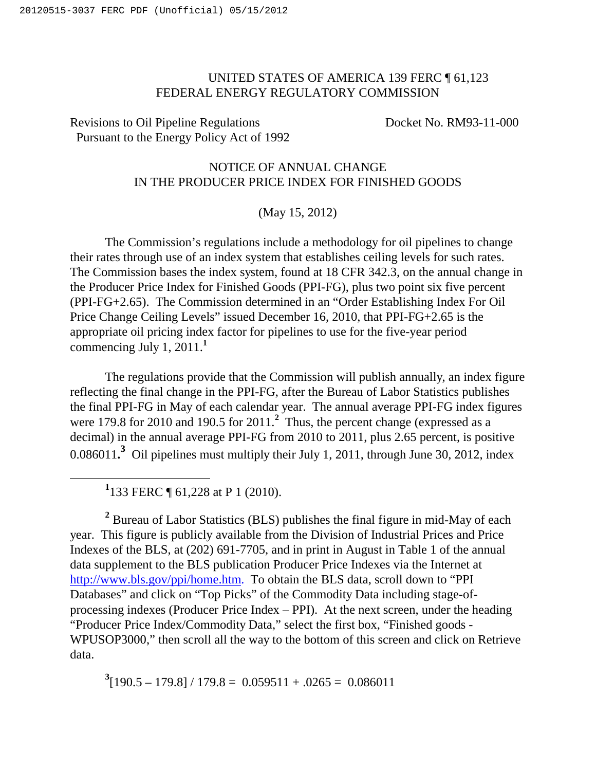## UNITED STATES OF AMERICA 139 FERC ¶ 61,123 FEDERAL ENERGY REGULATORY COMMISSION

## Revisions to Oil Pipeline Regulations Docket No. RM93-11-000 Pursuant to the Energy Policy Act of 1992

## NOTICE OF ANNUAL CHANGE IN THE PRODUCER PRICE INDEX FOR FINISHED GOODS

## (May 15, 2012)

The Commission's regulations include a methodology for oil pipelines to change their rates through use of an index system that establishes ceiling levels for such rates. The Commission bases the index system, found at 18 CFR 342.3, on the annual change in the Producer Price Index for Finished Goods (PPI-FG), plus two point six five percent (PPI-FG+2.65). The Commission determined in an "Order Establishing Index For Oil Price Change Ceiling Levels" issued December 16, 2010, that PPI-FG+2.65 is the appropriate oil pricing index factor for pipelines to use for the five-year period commencing July 1, 2011.**<sup>1</sup>**

The regulations provide that the Commission will publish annually, an index figure reflecting the final change in the PPI-FG, after the Bureau of Labor Statistics publishes the final PPI-FG in May of each calendar year. The annual average PPI-FG index figures were 179.8 for 2010 and 190.5 for 2011.<sup>2</sup> Thus, the percent change (expressed as a decimal) in the annual average PPI-FG from 2010 to 2011, plus 2.65 percent, is positive  $0.086011$ <sup>3</sup> Oil pipelines must multiply their July 1, 2011, through June 30, 2012, index

**1** 133 FERC ¶ 61,228 at P 1 (2010).

 $\overline{a}$ 

<sup>2</sup> Bureau of Labor Statistics (BLS) publishes the final figure in mid-May of each year. This figure is publicly available from the Division of Industrial Prices and Price Indexes of the BLS, at (202) 691-7705, and in print in August in Table 1 of the annual data supplement to the BLS publication Producer Price Indexes via the Internet at http://www.bls.gov/ppi/home.htm. To obtain the BLS data, scroll down to "PPI" Databases" and click on "Top Picks" of the Commodity Data including stage-ofprocessing indexes (Producer Price Index – PPI). At the next screen, under the heading "Producer Price Index/Commodity Data," select the first box, "Finished goods - WPUSOP3000," then scroll all the way to the bottom of this screen and click on Retrieve data.

 $3[190.5 - 179.8] / 179.8 = 0.059511 + .0265 = 0.086011$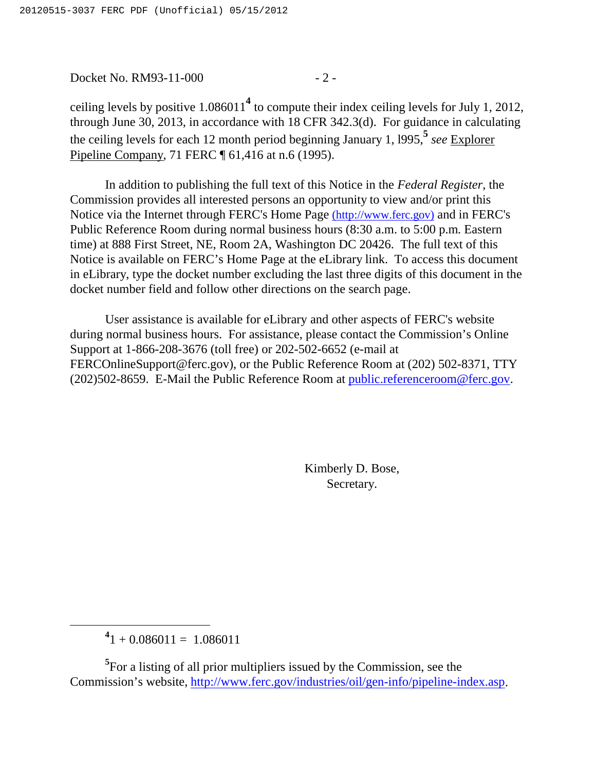Docket No. RM93-11-000 - 2 -

ceiling levels by positive 1.086011**<sup>4</sup>** to compute their index ceiling levels for July 1, 2012, through June 30, 2013, in accordance with 18 CFR 342.3(d). For guidance in calculating the ceiling levels for each 12 month period beginning January 1, l995,**<sup>5</sup>** *see* Explorer Pipeline Company, 71 FERC ¶ 61,416 at n.6 (1995).

In addition to publishing the full text of this Notice in the *Federal Register*, the Commission provides all interested persons an opportunity to view and/or print this Notice via the Internet through FERC's Home Page (http://www.ferc.gov) and in FERC's Public Reference Room during normal business hours (8:30 a.m. to 5:00 p.m. Eastern time) at 888 First Street, NE, Room 2A, Washington DC 20426. The full text of this Notice is available on FERC's Home Page at the eLibrary link. To access this document in eLibrary, type the docket number excluding the last three digits of this document in the docket number field and follow other directions on the search page.

User assistance is available for eLibrary and other aspects of FERC's website during normal business hours. For assistance, please contact the Commission's Online Support at 1-866-208-3676 (toll free) or 202-502-6652 (e-mail at FERCOnlineSupport@ferc.gov), or the Public Reference Room at (202) 502-8371, TTY (202)502-8659. E-Mail the Public Reference Room at public.referenceroom@ferc.gov.

> Kimberly D. Bose, Secretary.

 $^{4}$ 1 + 0.086011 = 1.086011

 $\overline{a}$ 

<sup>5</sup>For a listing of all prior multipliers issued by the Commission, see the Commission's website, http://www.ferc.gov/industries/oil/gen-info/pipeline-index.asp.